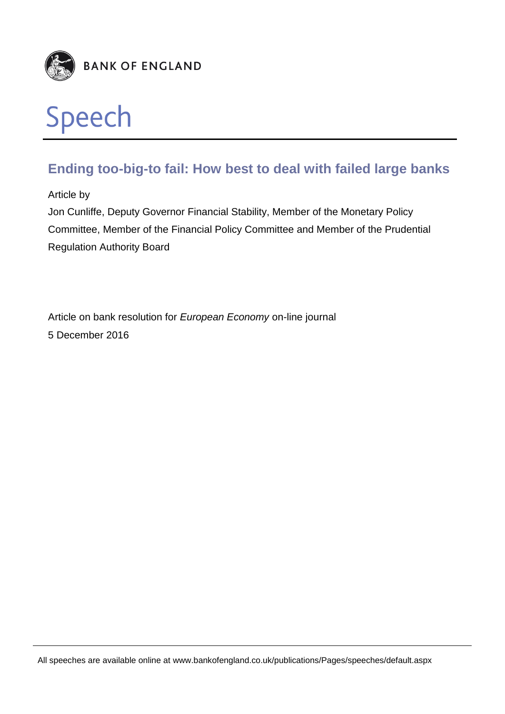

# **Ending too-big-to fail: How best to deal with failed large banks**

Article by

Jon Cunliffe, Deputy Governor Financial Stability, Member of the Monetary Policy Committee, Member of the Financial Policy Committee and Member of the Prudential Regulation Authority Board

Article on bank resolution for *European Economy* on-line journal 5 December 2016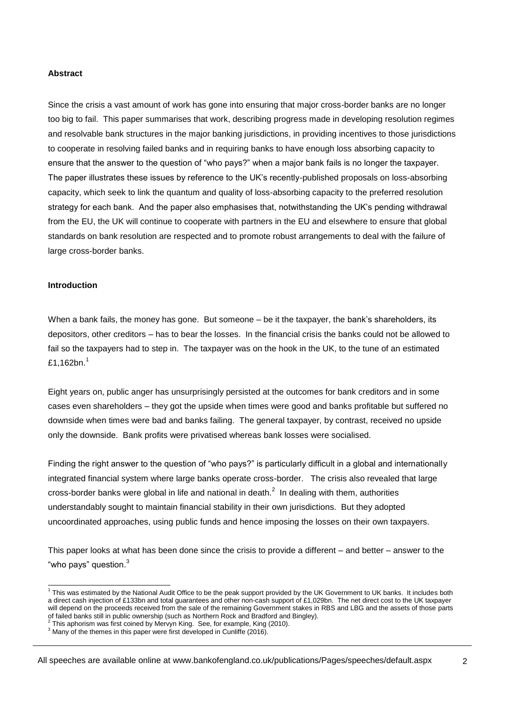#### **Abstract**

Since the crisis a vast amount of work has gone into ensuring that major cross-border banks are no longer too big to fail. This paper summarises that work, describing progress made in developing resolution regimes and resolvable bank structures in the major banking jurisdictions, in providing incentives to those jurisdictions to cooperate in resolving failed banks and in requiring banks to have enough loss absorbing capacity to ensure that the answer to the question of "who pays?" when a major bank fails is no longer the taxpayer. The paper illustrates these issues by reference to the UK's recently-published proposals on loss-absorbing capacity, which seek to link the quantum and quality of loss-absorbing capacity to the preferred resolution strategy for each bank. And the paper also emphasises that, notwithstanding the UK's pending withdrawal from the EU, the UK will continue to cooperate with partners in the EU and elsewhere to ensure that global standards on bank resolution are respected and to promote robust arrangements to deal with the failure of large cross-border banks.

#### **Introduction**

When a bank fails, the money has gone. But someone – be it the taxpayer, the bank's shareholders, its depositors, other creditors – has to bear the losses. In the financial crisis the banks could not be allowed to fail so the taxpayers had to step in. The taxpayer was on the hook in the UK, to the tune of an estimated £1,162bn.<sup>1</sup>

Eight years on, public anger has unsurprisingly persisted at the outcomes for bank creditors and in some cases even shareholders – they got the upside when times were good and banks profitable but suffered no downside when times were bad and banks failing. The general taxpayer, by contrast, received no upside only the downside. Bank profits were privatised whereas bank losses were socialised.

Finding the right answer to the question of "who pays?" is particularly difficult in a global and internationally integrated financial system where large banks operate cross-border. The crisis also revealed that large cross-border banks were global in life and national in death. $^2$  In dealing with them, authorities understandably sought to maintain financial stability in their own jurisdictions. But they adopted uncoordinated approaches, using public funds and hence imposing the losses on their own taxpayers.

This paper looks at what has been done since the crisis to provide a different – and better – answer to the "who pays" question.<sup>3</sup>

 1 This was estimated by the National Audit Office to be the peak support provided by the UK Government to UK banks. It includes both a direct cash injection of £133bn and total guarantees and other non-cash support of £1,029bn. The net direct cost to the UK taxpayer will depend on the proceeds received from the sale of the remaining Government stakes in RBS and LBG and the assets of those parts of failed banks still in public ownership (such as Northern Rock and Bradford and Bingley).<br><sup>2</sup> This apharism was first asiand by Manam King , See for avample, King (2010).

This aphorism was first coined by Mervyn King. See, for example, King (2010).

<sup>&</sup>lt;sup>3</sup> Many of the themes in this paper were first developed in Cunliffe (2016).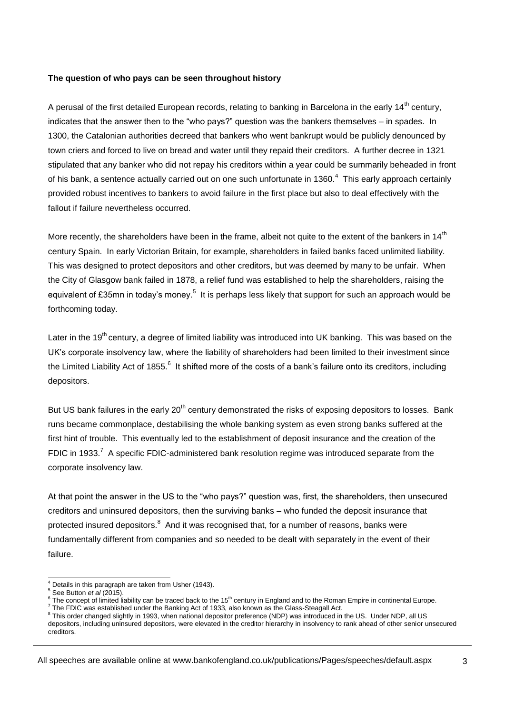#### **The question of who pays can be seen throughout history**

A perusal of the first detailed European records, relating to banking in Barcelona in the early 14<sup>th</sup> century, indicates that the answer then to the "who pays?" question was the bankers themselves – in spades. In 1300, the Catalonian authorities decreed that bankers who went bankrupt would be publicly denounced by town criers and forced to live on bread and water until they repaid their creditors. A further decree in 1321 stipulated that any banker who did not repay his creditors within a year could be summarily beheaded in front of his bank, a sentence actually carried out on one such unfortunate in 1360. $4$  This early approach certainly provided robust incentives to bankers to avoid failure in the first place but also to deal effectively with the fallout if failure nevertheless occurred.

More recently, the shareholders have been in the frame, albeit not quite to the extent of the bankers in 14<sup>th</sup> century Spain. In early Victorian Britain, for example, shareholders in failed banks faced unlimited liability. This was designed to protect depositors and other creditors, but was deemed by many to be unfair. When the City of Glasgow bank failed in 1878, a relief fund was established to help the shareholders, raising the equivalent of £35mn in today's money.<sup>5</sup> It is perhaps less likely that support for such an approach would be forthcoming today.

Later in the 19<sup>th</sup> century, a degree of limited liability was introduced into UK banking. This was based on the UK's corporate insolvency law, where the liability of shareholders had been limited to their investment since the Limited Liability Act of 1855. $^6$  It shifted more of the costs of a bank's failure onto its creditors, including depositors.

But US bank failures in the early 20<sup>th</sup> century demonstrated the risks of exposing depositors to losses. Bank runs became commonplace, destabilising the whole banking system as even strong banks suffered at the first hint of trouble. This eventually led to the establishment of deposit insurance and the creation of the FDIC in 1933.<sup>7</sup> A specific FDIC-administered bank resolution regime was introduced separate from the corporate insolvency law.

At that point the answer in the US to the "who pays?" question was, first, the shareholders, then unsecured creditors and uninsured depositors, then the surviving banks – who funded the deposit insurance that protected insured depositors.<sup>8</sup> And it was recognised that, for a number of reasons, banks were fundamentally different from companies and so needed to be dealt with separately in the event of their failure.

<sup>-</sup><sup>4</sup> Details in this paragraph are taken from Usher (1943).

<sup>5</sup> See Button *et al* (2015).

<sup>6</sup> The concept of limited liability can be traced back to the 15<sup>th</sup> century in England and to the Roman Empire in continental Europe.

<sup>7</sup> The FDIC was established under the Banking Act of 1933, also known as the Glass-Steagall Act.

<sup>&</sup>lt;sup>8</sup> This order changed slightly in 1993, when national depositor preference (NDP) was introduced in the US. Under NDP, all US depositors, including uninsured depositors, were elevated in the creditor hierarchy in insolvency to rank ahead of other senior unsecured creditors.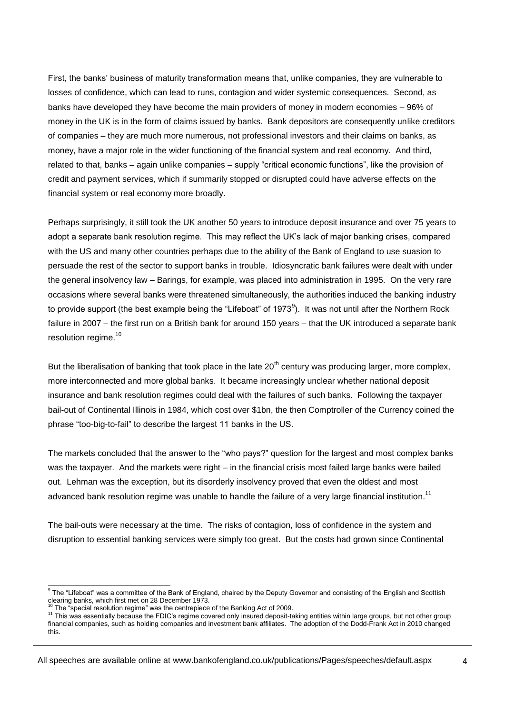First, the banks' business of maturity transformation means that, unlike companies, they are vulnerable to losses of confidence, which can lead to runs, contagion and wider systemic consequences. Second, as banks have developed they have become the main providers of money in modern economies – 96% of money in the UK is in the form of claims issued by banks. Bank depositors are consequently unlike creditors of companies – they are much more numerous, not professional investors and their claims on banks, as money, have a major role in the wider functioning of the financial system and real economy. And third, related to that, banks – again unlike companies – supply "critical economic functions", like the provision of credit and payment services, which if summarily stopped or disrupted could have adverse effects on the financial system or real economy more broadly.

Perhaps surprisingly, it still took the UK another 50 years to introduce deposit insurance and over 75 years to adopt a separate bank resolution regime. This may reflect the UK's lack of major banking crises, compared with the US and many other countries perhaps due to the ability of the Bank of England to use suasion to persuade the rest of the sector to support banks in trouble. Idiosyncratic bank failures were dealt with under the general insolvency law – Barings, for example, was placed into administration in 1995. On the very rare occasions where several banks were threatened simultaneously, the authorities induced the banking industry to provide support (the best example being the "Lifeboat" of 1973<sup>9</sup>). It was not until after the Northern Rock failure in 2007 – the first run on a British bank for around 150 years – that the UK introduced a separate bank resolution regime.<sup>10</sup>

But the liberalisation of banking that took place in the late  $20<sup>th</sup>$  century was producing larger, more complex, more interconnected and more global banks. It became increasingly unclear whether national deposit insurance and bank resolution regimes could deal with the failures of such banks. Following the taxpayer bail-out of Continental Illinois in 1984, which cost over \$1bn, the then Comptroller of the Currency coined the phrase "too-big-to-fail" to describe the largest 11 banks in the US.

The markets concluded that the answer to the "who pays?" question for the largest and most complex banks was the taxpayer. And the markets were right – in the financial crisis most failed large banks were bailed out. Lehman was the exception, but its disorderly insolvency proved that even the oldest and most advanced bank resolution regime was unable to handle the failure of a very large financial institution.<sup>11</sup>

The bail-outs were necessary at the time. The risks of contagion, loss of confidence in the system and disruption to essential banking services were simply too great. But the costs had grown since Continental

 9 The "Lifeboat" was a committee of the Bank of England, chaired by the Deputy Governor and consisting of the English and Scottish clearing banks, which first met on 28 December 1973.

<sup>&</sup>lt;sup>10</sup> The "special resolution regime" was the centrepiece of the Banking Act of 2009.

<sup>11</sup> This was essentially because the FDIC's regime covered only insured deposit-taking entities within large groups, but not other group financial companies, such as holding companies and investment bank affiliates. The adoption of the Dodd-Frank Act in 2010 changed this.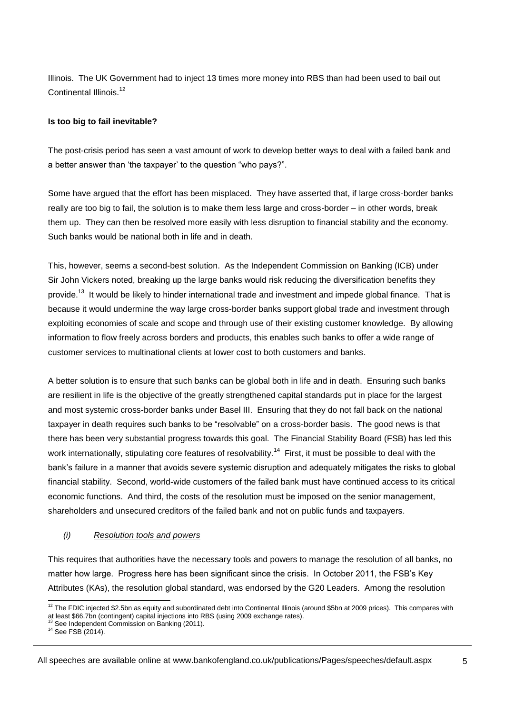Illinois. The UK Government had to inject 13 times more money into RBS than had been used to bail out Continental Illinois.<sup>12</sup>

## **Is too big to fail inevitable?**

The post-crisis period has seen a vast amount of work to develop better ways to deal with a failed bank and a better answer than 'the taxpayer' to the question "who pays?".

Some have argued that the effort has been misplaced. They have asserted that, if large cross-border banks really are too big to fail, the solution is to make them less large and cross-border – in other words, break them up. They can then be resolved more easily with less disruption to financial stability and the economy. Such banks would be national both in life and in death.

This, however, seems a second-best solution. As the Independent Commission on Banking (ICB) under Sir John Vickers noted, breaking up the large banks would risk reducing the diversification benefits they provide.<sup>13</sup> It would be likely to hinder international trade and investment and impede global finance. That is because it would undermine the way large cross-border banks support global trade and investment through exploiting economies of scale and scope and through use of their existing customer knowledge. By allowing information to flow freely across borders and products, this enables such banks to offer a wide range of customer services to multinational clients at lower cost to both customers and banks.

A better solution is to ensure that such banks can be global both in life and in death. Ensuring such banks are resilient in life is the objective of the greatly strengthened capital standards put in place for the largest and most systemic cross-border banks under Basel III. Ensuring that they do not fall back on the national taxpayer in death requires such banks to be "resolvable" on a cross-border basis. The good news is that there has been very substantial progress towards this goal. The Financial Stability Board (FSB) has led this work internationally, stipulating core features of resolvability.<sup>14</sup> First, it must be possible to deal with the bank's failure in a manner that avoids severe systemic disruption and adequately mitigates the risks to global financial stability. Second, world-wide customers of the failed bank must have continued access to its critical economic functions. And third, the costs of the resolution must be imposed on the senior management, shareholders and unsecured creditors of the failed bank and not on public funds and taxpayers.

### *(i) Resolution tools and powers*

This requires that authorities have the necessary tools and powers to manage the resolution of all banks, no matter how large. Progress here has been significant since the crisis. In October 2011, the FSB's Key Attributes (KAs), the resolution global standard, was endorsed by the G20 Leaders. Among the resolution

<sup>-</sup> $12$  The FDIC injected \$2.5bn as equity and subordinated debt into Continental Illinois (around \$5bn at 2009 prices). This compares with at least \$66.7bn (contingent) capital injections into RBS (using 2009 exchange rates).<br><sup>13</sup> See Independent Commission on Banking (2011).

<sup>14</sup> See FSB (2014).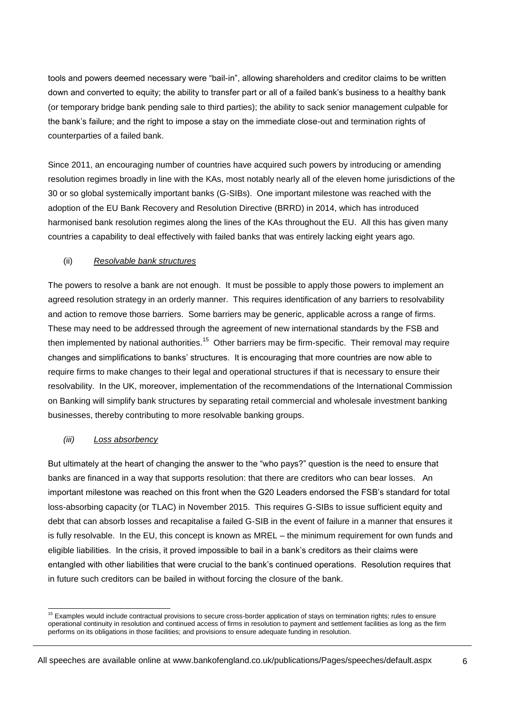tools and powers deemed necessary were "bail-in", allowing shareholders and creditor claims to be written down and converted to equity; the ability to transfer part or all of a failed bank's business to a healthy bank (or temporary bridge bank pending sale to third parties); the ability to sack senior management culpable for the bank's failure; and the right to impose a stay on the immediate close-out and termination rights of counterparties of a failed bank.

Since 2011, an encouraging number of countries have acquired such powers by introducing or amending resolution regimes broadly in line with the KAs, most notably nearly all of the eleven home jurisdictions of the 30 or so global systemically important banks (G-SIBs). One important milestone was reached with the adoption of the EU Bank Recovery and Resolution Directive (BRRD) in 2014, which has introduced harmonised bank resolution regimes along the lines of the KAs throughout the EU. All this has given many countries a capability to deal effectively with failed banks that was entirely lacking eight years ago.

# (ii) *Resolvable bank structures*

The powers to resolve a bank are not enough. It must be possible to apply those powers to implement an agreed resolution strategy in an orderly manner. This requires identification of any barriers to resolvability and action to remove those barriers. Some barriers may be generic, applicable across a range of firms. These may need to be addressed through the agreement of new international standards by the FSB and then implemented by national authorities.<sup>15</sup> Other barriers may be firm-specific. Their removal may require changes and simplifications to banks' structures. It is encouraging that more countries are now able to require firms to make changes to their legal and operational structures if that is necessary to ensure their resolvability. In the UK, moreover, implementation of the recommendations of the International Commission on Banking will simplify bank structures by separating retail commercial and wholesale investment banking businesses, thereby contributing to more resolvable banking groups.

### *(iii) Loss absorbency*

But ultimately at the heart of changing the answer to the "who pays?" question is the need to ensure that banks are financed in a way that supports resolution: that there are creditors who can bear losses. An important milestone was reached on this front when the G20 Leaders endorsed the FSB's standard for total loss-absorbing capacity (or TLAC) in November 2015. This requires G-SIBs to issue sufficient equity and debt that can absorb losses and recapitalise a failed G-SIB in the event of failure in a manner that ensures it is fully resolvable. In the EU, this concept is known as MREL – the minimum requirement for own funds and eligible liabilities. In the crisis, it proved impossible to bail in a bank's creditors as their claims were entangled with other liabilities that were crucial to the bank's continued operations. Resolution requires that in future such creditors can be bailed in without forcing the closure of the bank.

<sup>-</sup><sup>15</sup> Examples would include contractual provisions to secure cross-border application of stays on termination rights; rules to ensure operational continuity in resolution and continued access of firms in resolution to payment and settlement facilities as long as the firm performs on its obligations in those facilities; and provisions to ensure adequate funding in resolution.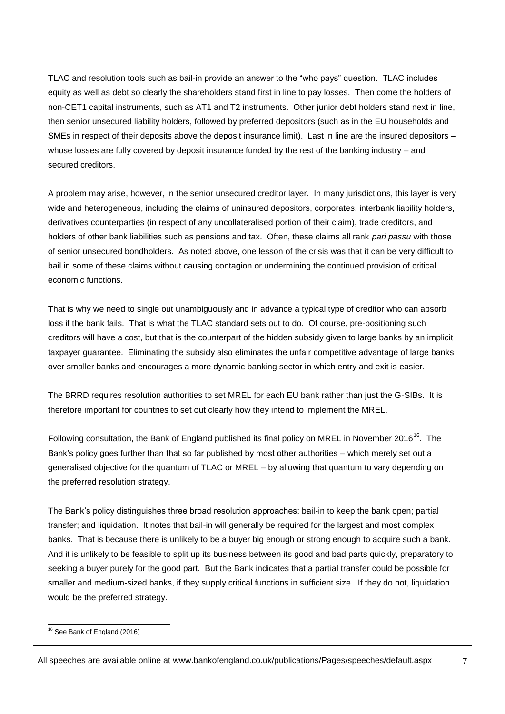TLAC and resolution tools such as bail-in provide an answer to the "who pays" question. TLAC includes equity as well as debt so clearly the shareholders stand first in line to pay losses. Then come the holders of non-CET1 capital instruments, such as AT1 and T2 instruments. Other junior debt holders stand next in line, then senior unsecured liability holders, followed by preferred depositors (such as in the EU households and SMEs in respect of their deposits above the deposit insurance limit). Last in line are the insured depositors – whose losses are fully covered by deposit insurance funded by the rest of the banking industry – and secured creditors.

A problem may arise, however, in the senior unsecured creditor layer. In many jurisdictions, this layer is very wide and heterogeneous, including the claims of uninsured depositors, corporates, interbank liability holders, derivatives counterparties (in respect of any uncollateralised portion of their claim), trade creditors, and holders of other bank liabilities such as pensions and tax. Often, these claims all rank *pari passu* with those of senior unsecured bondholders. As noted above, one lesson of the crisis was that it can be very difficult to bail in some of these claims without causing contagion or undermining the continued provision of critical economic functions.

That is why we need to single out unambiguously and in advance a typical type of creditor who can absorb loss if the bank fails. That is what the TLAC standard sets out to do. Of course, pre-positioning such creditors will have a cost, but that is the counterpart of the hidden subsidy given to large banks by an implicit taxpayer guarantee. Eliminating the subsidy also eliminates the unfair competitive advantage of large banks over smaller banks and encourages a more dynamic banking sector in which entry and exit is easier.

The BRRD requires resolution authorities to set MREL for each EU bank rather than just the G-SIBs. It is therefore important for countries to set out clearly how they intend to implement the MREL.

Following consultation, the Bank of England published its final policy on MREL in November 2016<sup>16</sup>. The Bank's policy goes further than that so far published by most other authorities – which merely set out a generalised objective for the quantum of TLAC or MREL – by allowing that quantum to vary depending on the preferred resolution strategy.

The Bank's policy distinguishes three broad resolution approaches: bail-in to keep the bank open; partial transfer; and liquidation. It notes that bail-in will generally be required for the largest and most complex banks. That is because there is unlikely to be a buyer big enough or strong enough to acquire such a bank. And it is unlikely to be feasible to split up its business between its good and bad parts quickly, preparatory to seeking a buyer purely for the good part. But the Bank indicates that a partial transfer could be possible for smaller and medium-sized banks, if they supply critical functions in sufficient size. If they do not, liquidation would be the preferred strategy.

<sup>-</sup><sup>16</sup> See Bank of England (2016)

All speeches are available online at www.bankofengland.co.uk/publications/Pages/speeches/default.aspx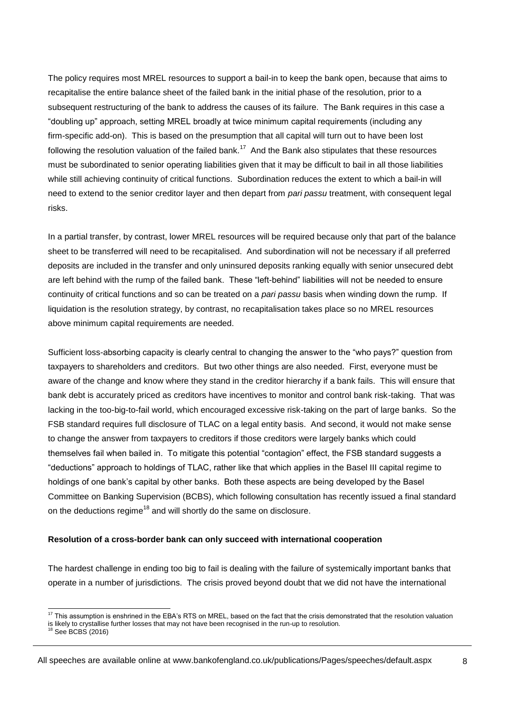The policy requires most MREL resources to support a bail-in to keep the bank open, because that aims to recapitalise the entire balance sheet of the failed bank in the initial phase of the resolution, prior to a subsequent restructuring of the bank to address the causes of its failure. The Bank requires in this case a "doubling up" approach, setting MREL broadly at twice minimum capital requirements (including any firm-specific add-on). This is based on the presumption that all capital will turn out to have been lost following the resolution valuation of the failed bank.<sup>17</sup> And the Bank also stipulates that these resources must be subordinated to senior operating liabilities given that it may be difficult to bail in all those liabilities while still achieving continuity of critical functions. Subordination reduces the extent to which a bail-in will need to extend to the senior creditor layer and then depart from *pari passu* treatment, with consequent legal risks.

In a partial transfer, by contrast, lower MREL resources will be required because only that part of the balance sheet to be transferred will need to be recapitalised. And subordination will not be necessary if all preferred deposits are included in the transfer and only uninsured deposits ranking equally with senior unsecured debt are left behind with the rump of the failed bank. These "left-behind" liabilities will not be needed to ensure continuity of critical functions and so can be treated on a *pari passu* basis when winding down the rump. If liquidation is the resolution strategy, by contrast, no recapitalisation takes place so no MREL resources above minimum capital requirements are needed.

Sufficient loss-absorbing capacity is clearly central to changing the answer to the "who pays?" question from taxpayers to shareholders and creditors. But two other things are also needed. First, everyone must be aware of the change and know where they stand in the creditor hierarchy if a bank fails. This will ensure that bank debt is accurately priced as creditors have incentives to monitor and control bank risk-taking. That was lacking in the too-big-to-fail world, which encouraged excessive risk-taking on the part of large banks. So the FSB standard requires full disclosure of TLAC on a legal entity basis. And second, it would not make sense to change the answer from taxpayers to creditors if those creditors were largely banks which could themselves fail when bailed in. To mitigate this potential "contagion" effect, the FSB standard suggests a "deductions" approach to holdings of TLAC, rather like that which applies in the Basel III capital regime to holdings of one bank's capital by other banks. Both these aspects are being developed by the Basel Committee on Banking Supervision (BCBS), which following consultation has recently issued a final standard on the deductions regime<sup>18</sup> and will shortly do the same on disclosure.

#### **Resolution of a cross-border bank can only succeed with international cooperation**

The hardest challenge in ending too big to fail is dealing with the failure of systemically important banks that operate in a number of jurisdictions. The crisis proved beyond doubt that we did not have the international

<sup>-</sup> $17$  This assumption is enshrined in the EBA's RTS on MREL, based on the fact that the crisis demonstrated that the resolution valuation is likely to crystallise further losses that may not have been recognised in the run-up to resolution. <sup>18</sup> See BCBS (2016)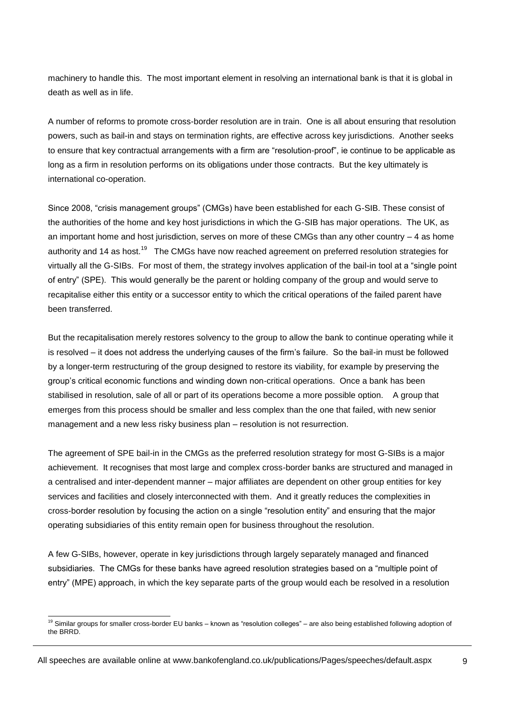machinery to handle this. The most important element in resolving an international bank is that it is global in death as well as in life.

A number of reforms to promote cross-border resolution are in train. One is all about ensuring that resolution powers, such as bail-in and stays on termination rights, are effective across key jurisdictions. Another seeks to ensure that key contractual arrangements with a firm are "resolution-proof", ie continue to be applicable as long as a firm in resolution performs on its obligations under those contracts. But the key ultimately is international co-operation.

Since 2008, "crisis management groups" (CMGs) have been established for each G-SIB. These consist of the authorities of the home and key host jurisdictions in which the G-SIB has major operations. The UK, as an important home and host jurisdiction, serves on more of these CMGs than any other country – 4 as home authority and 14 as host.<sup>19</sup> The CMGs have now reached agreement on preferred resolution strategies for virtually all the G-SIBs. For most of them, the strategy involves application of the bail-in tool at a "single point of entry" (SPE). This would generally be the parent or holding company of the group and would serve to recapitalise either this entity or a successor entity to which the critical operations of the failed parent have been transferred.

But the recapitalisation merely restores solvency to the group to allow the bank to continue operating while it is resolved – it does not address the underlying causes of the firm's failure. So the bail-in must be followed by a longer-term restructuring of the group designed to restore its viability, for example by preserving the group's critical economic functions and winding down non-critical operations. Once a bank has been stabilised in resolution, sale of all or part of its operations become a more possible option. A group that emerges from this process should be smaller and less complex than the one that failed, with new senior management and a new less risky business plan – resolution is not resurrection.

The agreement of SPE bail-in in the CMGs as the preferred resolution strategy for most G-SIBs is a major achievement. It recognises that most large and complex cross-border banks are structured and managed in a centralised and inter-dependent manner – major affiliates are dependent on other group entities for key services and facilities and closely interconnected with them. And it greatly reduces the complexities in cross-border resolution by focusing the action on a single "resolution entity" and ensuring that the major operating subsidiaries of this entity remain open for business throughout the resolution.

A few G-SIBs, however, operate in key jurisdictions through largely separately managed and financed subsidiaries. The CMGs for these banks have agreed resolution strategies based on a "multiple point of entry" (MPE) approach, in which the key separate parts of the group would each be resolved in a resolution

<sup>-</sup> $19$  Similar groups for smaller cross-border EU banks – known as "resolution colleges" – are also being established following adoption of the BRRD.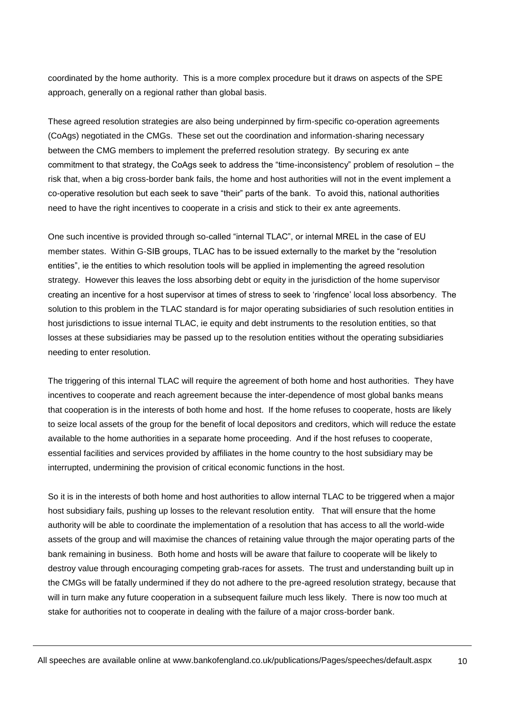coordinated by the home authority. This is a more complex procedure but it draws on aspects of the SPE approach, generally on a regional rather than global basis.

These agreed resolution strategies are also being underpinned by firm-specific co-operation agreements (CoAgs) negotiated in the CMGs. These set out the coordination and information-sharing necessary between the CMG members to implement the preferred resolution strategy. By securing ex ante commitment to that strategy, the CoAgs seek to address the "time-inconsistency" problem of resolution – the risk that, when a big cross-border bank fails, the home and host authorities will not in the event implement a co-operative resolution but each seek to save "their" parts of the bank. To avoid this, national authorities need to have the right incentives to cooperate in a crisis and stick to their ex ante agreements.

One such incentive is provided through so-called "internal TLAC", or internal MREL in the case of EU member states. Within G-SIB groups, TLAC has to be issued externally to the market by the "resolution entities", ie the entities to which resolution tools will be applied in implementing the agreed resolution strategy. However this leaves the loss absorbing debt or equity in the jurisdiction of the home supervisor creating an incentive for a host supervisor at times of stress to seek to 'ringfence' local loss absorbency. The solution to this problem in the TLAC standard is for major operating subsidiaries of such resolution entities in host jurisdictions to issue internal TLAC, ie equity and debt instruments to the resolution entities, so that losses at these subsidiaries may be passed up to the resolution entities without the operating subsidiaries needing to enter resolution.

The triggering of this internal TLAC will require the agreement of both home and host authorities. They have incentives to cooperate and reach agreement because the inter-dependence of most global banks means that cooperation is in the interests of both home and host. If the home refuses to cooperate, hosts are likely to seize local assets of the group for the benefit of local depositors and creditors, which will reduce the estate available to the home authorities in a separate home proceeding. And if the host refuses to cooperate, essential facilities and services provided by affiliates in the home country to the host subsidiary may be interrupted, undermining the provision of critical economic functions in the host.

So it is in the interests of both home and host authorities to allow internal TLAC to be triggered when a major host subsidiary fails, pushing up losses to the relevant resolution entity. That will ensure that the home authority will be able to coordinate the implementation of a resolution that has access to all the world-wide assets of the group and will maximise the chances of retaining value through the major operating parts of the bank remaining in business. Both home and hosts will be aware that failure to cooperate will be likely to destroy value through encouraging competing grab-races for assets. The trust and understanding built up in the CMGs will be fatally undermined if they do not adhere to the pre-agreed resolution strategy, because that will in turn make any future cooperation in a subsequent failure much less likely. There is now too much at stake for authorities not to cooperate in dealing with the failure of a major cross-border bank.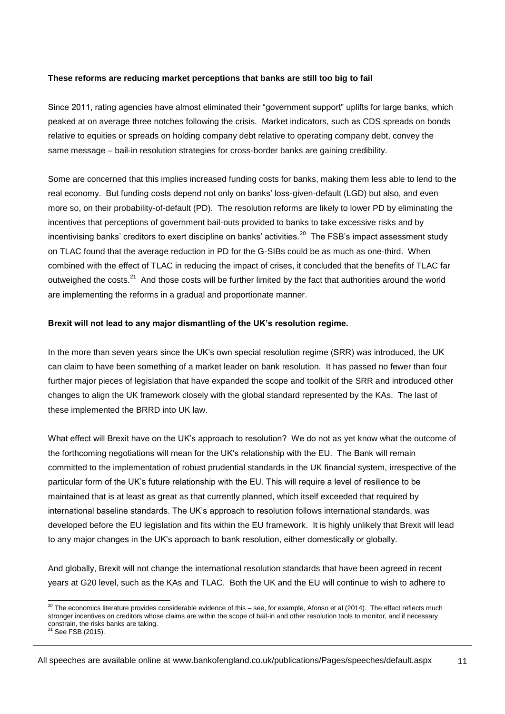## **These reforms are reducing market perceptions that banks are still too big to fail**

Since 2011, rating agencies have almost eliminated their "government support" uplifts for large banks, which peaked at on average three notches following the crisis. Market indicators, such as CDS spreads on bonds relative to equities or spreads on holding company debt relative to operating company debt, convey the same message – bail-in resolution strategies for cross-border banks are gaining credibility.

Some are concerned that this implies increased funding costs for banks, making them less able to lend to the real economy. But funding costs depend not only on banks' loss-given-default (LGD) but also, and even more so, on their probability-of-default (PD). The resolution reforms are likely to lower PD by eliminating the incentives that perceptions of government bail-outs provided to banks to take excessive risks and by incentivising banks' creditors to exert discipline on banks' activities.<sup>20</sup> The FSB's impact assessment study on TLAC found that the average reduction in PD for the G-SIBs could be as much as one-third. When combined with the effect of TLAC in reducing the impact of crises, it concluded that the benefits of TLAC far outweighed the costs.<sup>21</sup> And those costs will be further limited by the fact that authorities around the world are implementing the reforms in a gradual and proportionate manner.

# **Brexit will not lead to any major dismantling of the UK's resolution regime.**

In the more than seven years since the UK's own special resolution regime (SRR) was introduced, the UK can claim to have been something of a market leader on bank resolution. It has passed no fewer than four further major pieces of legislation that have expanded the scope and toolkit of the SRR and introduced other changes to align the UK framework closely with the global standard represented by the KAs. The last of these implemented the BRRD into UK law.

What effect will Brexit have on the UK's approach to resolution? We do not as yet know what the outcome of the forthcoming negotiations will mean for the UK's relationship with the EU. The Bank will remain committed to the implementation of robust prudential standards in the UK financial system, irrespective of the particular form of the UK's future relationship with the EU. This will require a level of resilience to be maintained that is at least as great as that currently planned, which itself exceeded that required by international baseline standards. The UK's approach to resolution follows international standards, was developed before the EU legislation and fits within the EU framework. It is highly unlikely that Brexit will lead to any major changes in the UK's approach to bank resolution, either domestically or globally.

And globally, Brexit will not change the international resolution standards that have been agreed in recent years at G20 level, such as the KAs and TLAC. Both the UK and the EU will continue to wish to adhere to

All speeches are available online at www.bankofengland.co.uk/publications/Pages/speeches/default.aspx

11

<sup>-</sup> $^{20}$  The economics literature provides considerable evidence of this – see, for example, Afonso et al (2014). The effect reflects much stronger incentives on creditors whose claims are within the scope of bail-in and other resolution tools to monitor, and if necessary constrain, the risks banks are taking.<br><sup>21</sup> See FSB (2015).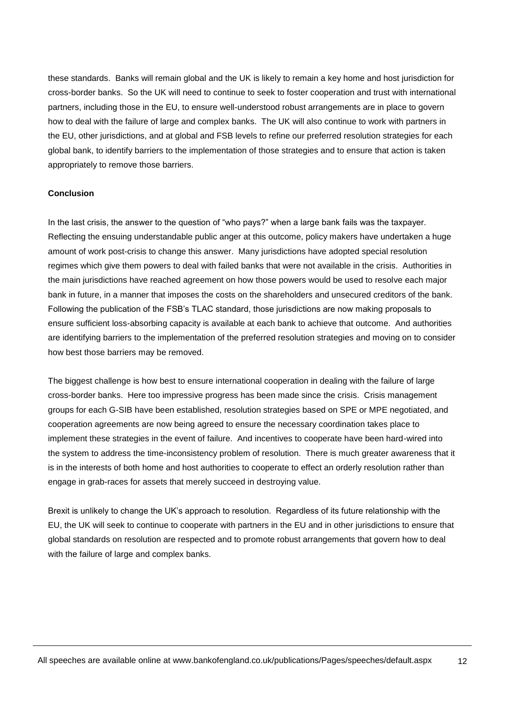these standards. Banks will remain global and the UK is likely to remain a key home and host jurisdiction for cross-border banks. So the UK will need to continue to seek to foster cooperation and trust with international partners, including those in the EU, to ensure well-understood robust arrangements are in place to govern how to deal with the failure of large and complex banks. The UK will also continue to work with partners in the EU, other jurisdictions, and at global and FSB levels to refine our preferred resolution strategies for each global bank, to identify barriers to the implementation of those strategies and to ensure that action is taken appropriately to remove those barriers.

#### **Conclusion**

In the last crisis, the answer to the question of "who pays?" when a large bank fails was the taxpayer. Reflecting the ensuing understandable public anger at this outcome, policy makers have undertaken a huge amount of work post-crisis to change this answer. Many jurisdictions have adopted special resolution regimes which give them powers to deal with failed banks that were not available in the crisis. Authorities in the main jurisdictions have reached agreement on how those powers would be used to resolve each major bank in future, in a manner that imposes the costs on the shareholders and unsecured creditors of the bank. Following the publication of the FSB's TLAC standard, those jurisdictions are now making proposals to ensure sufficient loss-absorbing capacity is available at each bank to achieve that outcome. And authorities are identifying barriers to the implementation of the preferred resolution strategies and moving on to consider how best those barriers may be removed.

The biggest challenge is how best to ensure international cooperation in dealing with the failure of large cross-border banks. Here too impressive progress has been made since the crisis. Crisis management groups for each G-SIB have been established, resolution strategies based on SPE or MPE negotiated, and cooperation agreements are now being agreed to ensure the necessary coordination takes place to implement these strategies in the event of failure. And incentives to cooperate have been hard-wired into the system to address the time-inconsistency problem of resolution. There is much greater awareness that it is in the interests of both home and host authorities to cooperate to effect an orderly resolution rather than engage in grab-races for assets that merely succeed in destroying value.

Brexit is unlikely to change the UK's approach to resolution. Regardless of its future relationship with the EU, the UK will seek to continue to cooperate with partners in the EU and in other jurisdictions to ensure that global standards on resolution are respected and to promote robust arrangements that govern how to deal with the failure of large and complex banks.